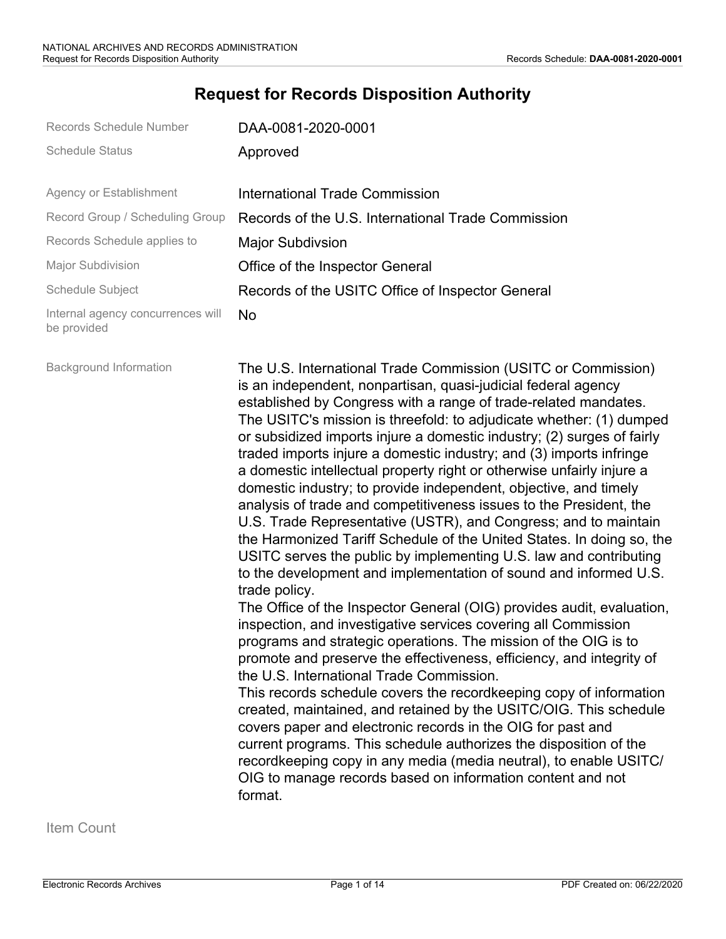# **Request for Records Disposition Authority**

| Records Schedule Number                          | DAA-0081-2020-0001                                                                                                                                                                                                                                                                                                                                                                                                                                                                                                                                                                                                                                                                                                                                                                                                                                                                                                                                                                                                                                                                                                                                                                                                                                                                                                                                                                                                                                                                                                                                                                                                                                                                                                |
|--------------------------------------------------|-------------------------------------------------------------------------------------------------------------------------------------------------------------------------------------------------------------------------------------------------------------------------------------------------------------------------------------------------------------------------------------------------------------------------------------------------------------------------------------------------------------------------------------------------------------------------------------------------------------------------------------------------------------------------------------------------------------------------------------------------------------------------------------------------------------------------------------------------------------------------------------------------------------------------------------------------------------------------------------------------------------------------------------------------------------------------------------------------------------------------------------------------------------------------------------------------------------------------------------------------------------------------------------------------------------------------------------------------------------------------------------------------------------------------------------------------------------------------------------------------------------------------------------------------------------------------------------------------------------------------------------------------------------------------------------------------------------------|
| <b>Schedule Status</b>                           | Approved                                                                                                                                                                                                                                                                                                                                                                                                                                                                                                                                                                                                                                                                                                                                                                                                                                                                                                                                                                                                                                                                                                                                                                                                                                                                                                                                                                                                                                                                                                                                                                                                                                                                                                          |
| Agency or Establishment                          | <b>International Trade Commission</b>                                                                                                                                                                                                                                                                                                                                                                                                                                                                                                                                                                                                                                                                                                                                                                                                                                                                                                                                                                                                                                                                                                                                                                                                                                                                                                                                                                                                                                                                                                                                                                                                                                                                             |
| Record Group / Scheduling Group                  | Records of the U.S. International Trade Commission                                                                                                                                                                                                                                                                                                                                                                                                                                                                                                                                                                                                                                                                                                                                                                                                                                                                                                                                                                                                                                                                                                                                                                                                                                                                                                                                                                                                                                                                                                                                                                                                                                                                |
| Records Schedule applies to                      | <b>Major Subdivsion</b>                                                                                                                                                                                                                                                                                                                                                                                                                                                                                                                                                                                                                                                                                                                                                                                                                                                                                                                                                                                                                                                                                                                                                                                                                                                                                                                                                                                                                                                                                                                                                                                                                                                                                           |
| Major Subdivision                                | Office of the Inspector General                                                                                                                                                                                                                                                                                                                                                                                                                                                                                                                                                                                                                                                                                                                                                                                                                                                                                                                                                                                                                                                                                                                                                                                                                                                                                                                                                                                                                                                                                                                                                                                                                                                                                   |
| Schedule Subject                                 | Records of the USITC Office of Inspector General                                                                                                                                                                                                                                                                                                                                                                                                                                                                                                                                                                                                                                                                                                                                                                                                                                                                                                                                                                                                                                                                                                                                                                                                                                                                                                                                                                                                                                                                                                                                                                                                                                                                  |
| Internal agency concurrences will<br>be provided | No                                                                                                                                                                                                                                                                                                                                                                                                                                                                                                                                                                                                                                                                                                                                                                                                                                                                                                                                                                                                                                                                                                                                                                                                                                                                                                                                                                                                                                                                                                                                                                                                                                                                                                                |
| <b>Background Information</b>                    | The U.S. International Trade Commission (USITC or Commission)<br>is an independent, nonpartisan, quasi-judicial federal agency<br>established by Congress with a range of trade-related mandates.<br>The USITC's mission is threefold: to adjudicate whether: (1) dumped<br>or subsidized imports injure a domestic industry; (2) surges of fairly<br>traded imports injure a domestic industry; and (3) imports infringe<br>a domestic intellectual property right or otherwise unfairly injure a<br>domestic industry; to provide independent, objective, and timely<br>analysis of trade and competitiveness issues to the President, the<br>U.S. Trade Representative (USTR), and Congress; and to maintain<br>the Harmonized Tariff Schedule of the United States. In doing so, the<br>USITC serves the public by implementing U.S. law and contributing<br>to the development and implementation of sound and informed U.S.<br>trade policy.<br>The Office of the Inspector General (OIG) provides audit, evaluation,<br>inspection, and investigative services covering all Commission<br>programs and strategic operations. The mission of the OIG is to<br>promote and preserve the effectiveness, efficiency, and integrity of<br>the U.S. International Trade Commission.<br>This records schedule covers the recordkeeping copy of information<br>created, maintained, and retained by the USITC/OIG. This schedule<br>covers paper and electronic records in the OIG for past and<br>current programs. This schedule authorizes the disposition of the<br>recordkeeping copy in any media (media neutral), to enable USITC/<br>OIG to manage records based on information content and not<br>format. |

Item Count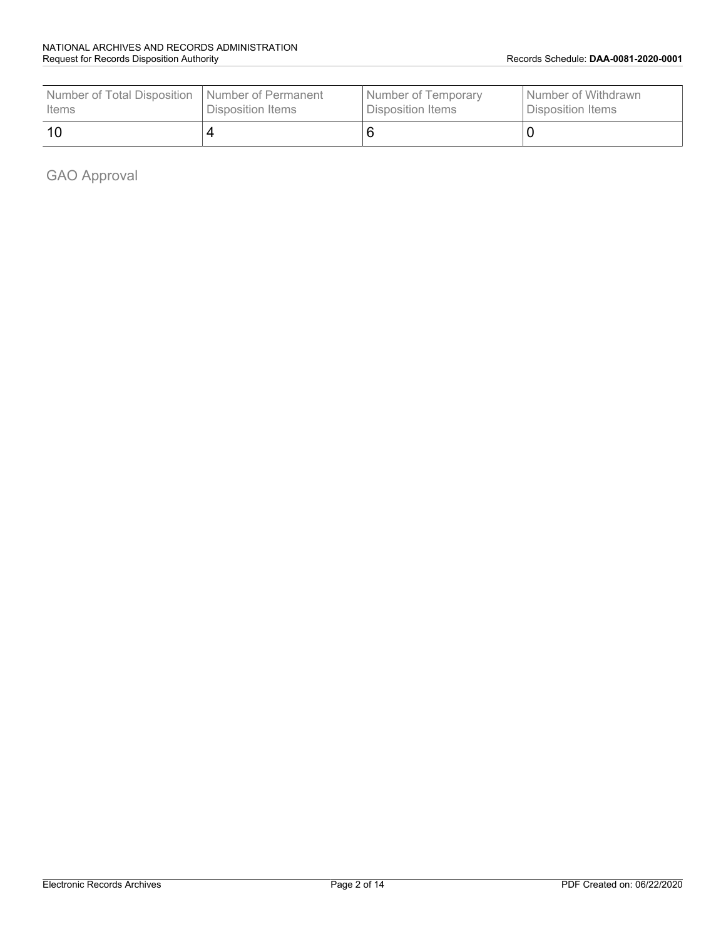| Number of Total Disposition | I Number of Permanent | Number of Temporary | l Number of Withdrawn |
|-----------------------------|-----------------------|---------------------|-----------------------|
| Items                       | Disposition Items     | Disposition Items   | Disposition Items     |
| 10                          |                       |                     |                       |

GAO Approval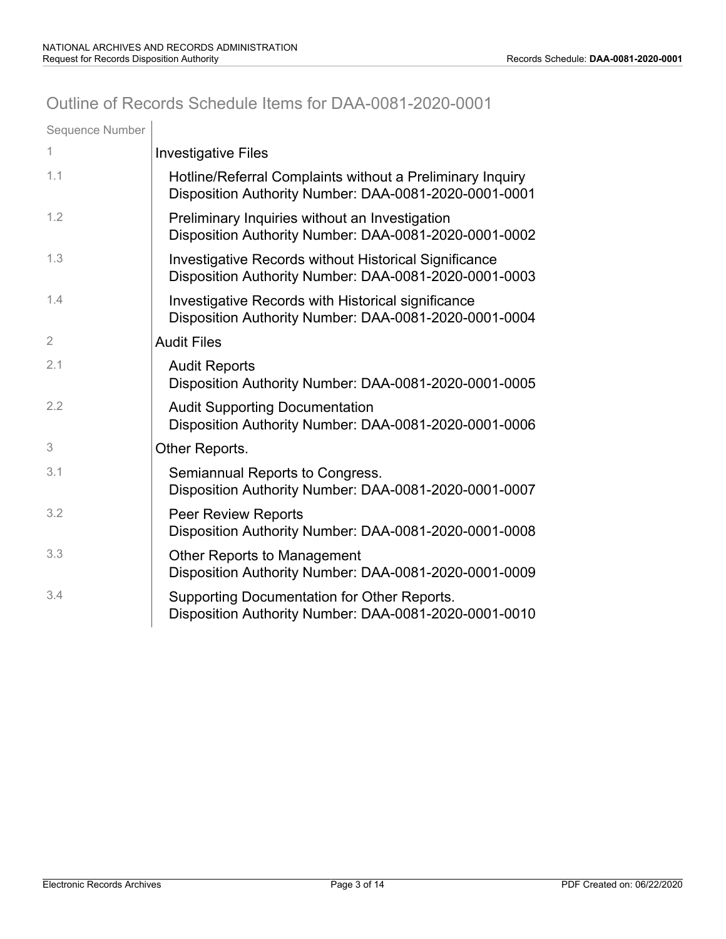## Outline of Records Schedule Items for DAA-0081-2020-0001

| Sequence Number |                                                                                                                    |
|-----------------|--------------------------------------------------------------------------------------------------------------------|
| 1               | <b>Investigative Files</b>                                                                                         |
| 1.1             | Hotline/Referral Complaints without a Preliminary Inquiry<br>Disposition Authority Number: DAA-0081-2020-0001-0001 |
| 1.2             | Preliminary Inquiries without an Investigation<br>Disposition Authority Number: DAA-0081-2020-0001-0002            |
| 1.3             | Investigative Records without Historical Significance<br>Disposition Authority Number: DAA-0081-2020-0001-0003     |
| 1.4             | Investigative Records with Historical significance<br>Disposition Authority Number: DAA-0081-2020-0001-0004        |
| 2               | <b>Audit Files</b>                                                                                                 |
| 2.1             | <b>Audit Reports</b><br>Disposition Authority Number: DAA-0081-2020-0001-0005                                      |
| 2.2             | <b>Audit Supporting Documentation</b><br>Disposition Authority Number: DAA-0081-2020-0001-0006                     |
| 3               | Other Reports.                                                                                                     |
| 3.1             | Semiannual Reports to Congress.<br>Disposition Authority Number: DAA-0081-2020-0001-0007                           |
| 3.2             | <b>Peer Review Reports</b><br>Disposition Authority Number: DAA-0081-2020-0001-0008                                |
| 3.3             | <b>Other Reports to Management</b><br>Disposition Authority Number: DAA-0081-2020-0001-0009                        |
| 3.4             | Supporting Documentation for Other Reports.<br>Disposition Authority Number: DAA-0081-2020-0001-0010               |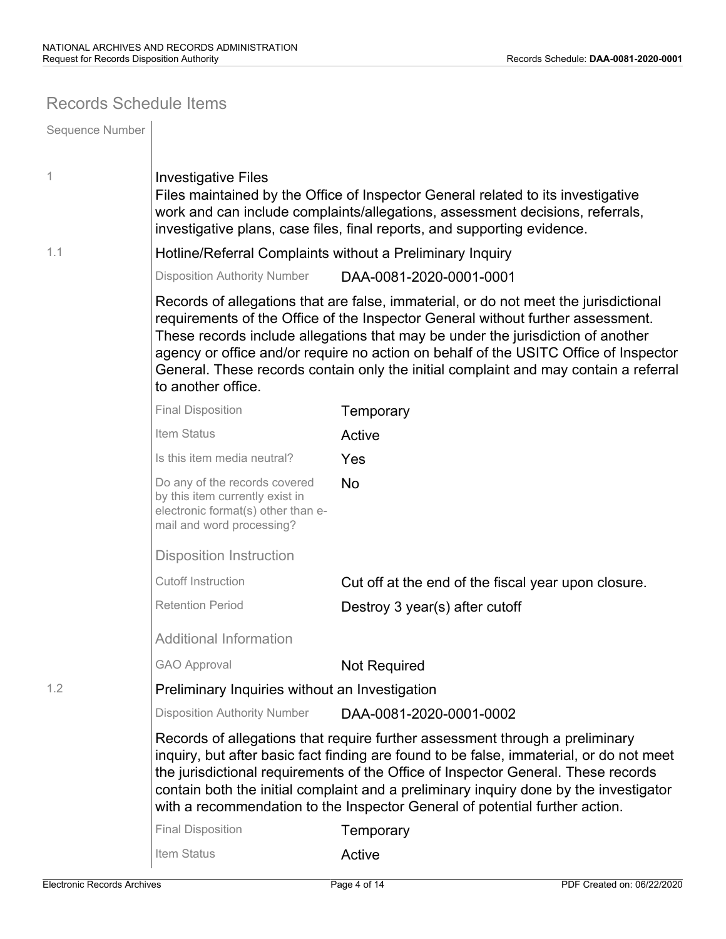### Records Schedule Items

| Sequence Number |                                                                                                                                     |                                                                                                                                                                                                                                                                                                                                                                                                                                            |  |  |  |
|-----------------|-------------------------------------------------------------------------------------------------------------------------------------|--------------------------------------------------------------------------------------------------------------------------------------------------------------------------------------------------------------------------------------------------------------------------------------------------------------------------------------------------------------------------------------------------------------------------------------------|--|--|--|
| 1               | <b>Investigative Files</b>                                                                                                          | Files maintained by the Office of Inspector General related to its investigative<br>work and can include complaints/allegations, assessment decisions, referrals,<br>investigative plans, case files, final reports, and supporting evidence.                                                                                                                                                                                              |  |  |  |
| 1.1             |                                                                                                                                     | Hotline/Referral Complaints without a Preliminary Inquiry                                                                                                                                                                                                                                                                                                                                                                                  |  |  |  |
|                 | <b>Disposition Authority Number</b>                                                                                                 | DAA-0081-2020-0001-0001                                                                                                                                                                                                                                                                                                                                                                                                                    |  |  |  |
|                 | to another office.                                                                                                                  | Records of allegations that are false, immaterial, or do not meet the jurisdictional<br>requirements of the Office of the Inspector General without further assessment.<br>These records include allegations that may be under the jurisdiction of another<br>agency or office and/or require no action on behalf of the USITC Office of Inspector<br>General. These records contain only the initial complaint and may contain a referral |  |  |  |
|                 | <b>Final Disposition</b>                                                                                                            | Temporary                                                                                                                                                                                                                                                                                                                                                                                                                                  |  |  |  |
|                 | Item Status                                                                                                                         | Active                                                                                                                                                                                                                                                                                                                                                                                                                                     |  |  |  |
|                 | Is this item media neutral?                                                                                                         | Yes                                                                                                                                                                                                                                                                                                                                                                                                                                        |  |  |  |
|                 | Do any of the records covered<br>by this item currently exist in<br>electronic format(s) other than e-<br>mail and word processing? | <b>No</b>                                                                                                                                                                                                                                                                                                                                                                                                                                  |  |  |  |
|                 | <b>Disposition Instruction</b>                                                                                                      |                                                                                                                                                                                                                                                                                                                                                                                                                                            |  |  |  |
|                 | <b>Cutoff Instruction</b>                                                                                                           | Cut off at the end of the fiscal year upon closure.                                                                                                                                                                                                                                                                                                                                                                                        |  |  |  |
|                 | <b>Retention Period</b>                                                                                                             | Destroy 3 year(s) after cutoff                                                                                                                                                                                                                                                                                                                                                                                                             |  |  |  |
|                 | <b>Additional Information</b>                                                                                                       |                                                                                                                                                                                                                                                                                                                                                                                                                                            |  |  |  |
|                 | <b>GAO Approval</b>                                                                                                                 | <b>Not Required</b>                                                                                                                                                                                                                                                                                                                                                                                                                        |  |  |  |
| 1.2             | Preliminary Inquiries without an Investigation                                                                                      |                                                                                                                                                                                                                                                                                                                                                                                                                                            |  |  |  |
|                 | <b>Disposition Authority Number</b>                                                                                                 | DAA-0081-2020-0001-0002                                                                                                                                                                                                                                                                                                                                                                                                                    |  |  |  |
|                 |                                                                                                                                     | Records of allegations that require further assessment through a preliminary<br>inquiry, but after basic fact finding are found to be false, immaterial, or do not meet<br>the jurisdictional requirements of the Office of Inspector General. These records<br>contain both the initial complaint and a preliminary inquiry done by the investigator<br>with a recommendation to the Inspector General of potential further action.       |  |  |  |
|                 | <b>Final Disposition</b>                                                                                                            | Temporary                                                                                                                                                                                                                                                                                                                                                                                                                                  |  |  |  |
|                 | Item Status                                                                                                                         | Active                                                                                                                                                                                                                                                                                                                                                                                                                                     |  |  |  |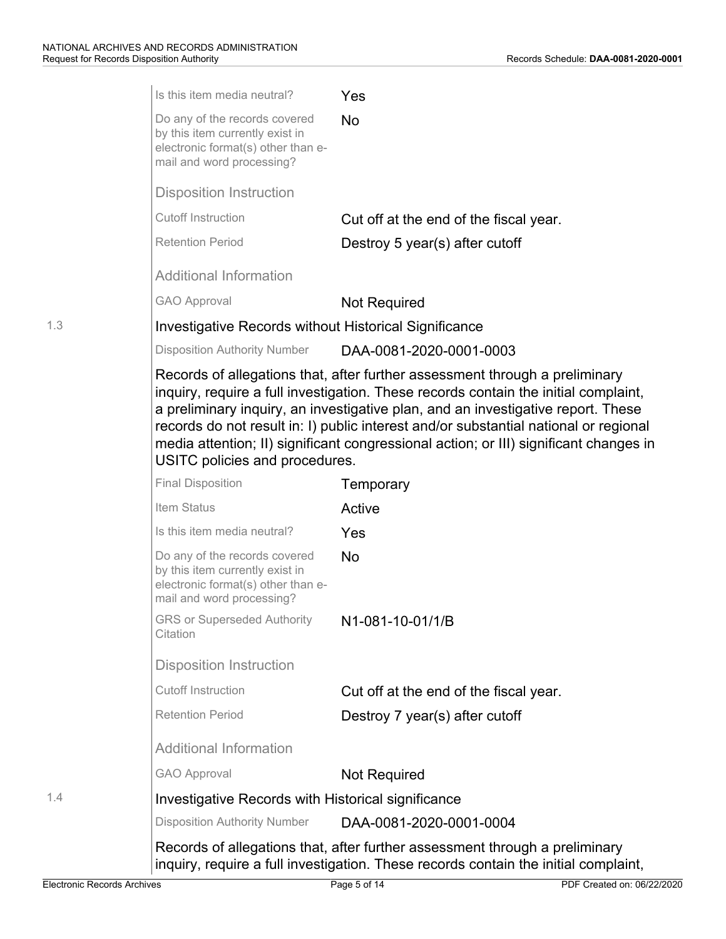|     | Is this item media neutral?                                                                                                         | Yes                                                                                                                                                                                                                                                                                                                                                                                                                                     |
|-----|-------------------------------------------------------------------------------------------------------------------------------------|-----------------------------------------------------------------------------------------------------------------------------------------------------------------------------------------------------------------------------------------------------------------------------------------------------------------------------------------------------------------------------------------------------------------------------------------|
|     | Do any of the records covered<br>by this item currently exist in<br>electronic format(s) other than e-<br>mail and word processing? | <b>No</b>                                                                                                                                                                                                                                                                                                                                                                                                                               |
|     | <b>Disposition Instruction</b>                                                                                                      |                                                                                                                                                                                                                                                                                                                                                                                                                                         |
|     | <b>Cutoff Instruction</b>                                                                                                           | Cut off at the end of the fiscal year.                                                                                                                                                                                                                                                                                                                                                                                                  |
|     | <b>Retention Period</b>                                                                                                             | Destroy 5 year(s) after cutoff                                                                                                                                                                                                                                                                                                                                                                                                          |
|     | <b>Additional Information</b>                                                                                                       |                                                                                                                                                                                                                                                                                                                                                                                                                                         |
|     | <b>GAO Approval</b>                                                                                                                 | <b>Not Required</b>                                                                                                                                                                                                                                                                                                                                                                                                                     |
| 1.3 | Investigative Records without Historical Significance                                                                               |                                                                                                                                                                                                                                                                                                                                                                                                                                         |
|     | <b>Disposition Authority Number</b>                                                                                                 | DAA-0081-2020-0001-0003                                                                                                                                                                                                                                                                                                                                                                                                                 |
|     | USITC policies and procedures.                                                                                                      | Records of allegations that, after further assessment through a preliminary<br>inquiry, require a full investigation. These records contain the initial complaint,<br>a preliminary inquiry, an investigative plan, and an investigative report. These<br>records do not result in: I) public interest and/or substantial national or regional<br>media attention; II) significant congressional action; or III) significant changes in |
|     | <b>Final Disposition</b>                                                                                                            | Temporary                                                                                                                                                                                                                                                                                                                                                                                                                               |
|     | Item Status                                                                                                                         | Active                                                                                                                                                                                                                                                                                                                                                                                                                                  |
|     | Is this item media neutral?                                                                                                         | Yes                                                                                                                                                                                                                                                                                                                                                                                                                                     |
|     | Do any of the records covered<br>by this item currently exist in<br>electronic format(s) other than e-<br>mail and word processing? | <b>No</b>                                                                                                                                                                                                                                                                                                                                                                                                                               |
|     | <b>GRS or Superseded Authority</b><br>Citation                                                                                      | N1-081-10-01/1/B                                                                                                                                                                                                                                                                                                                                                                                                                        |
|     | <b>Disposition Instruction</b>                                                                                                      |                                                                                                                                                                                                                                                                                                                                                                                                                                         |
|     | <b>Cutoff Instruction</b>                                                                                                           | Cut off at the end of the fiscal year.                                                                                                                                                                                                                                                                                                                                                                                                  |
|     | <b>Retention Period</b>                                                                                                             | Destroy 7 year(s) after cutoff                                                                                                                                                                                                                                                                                                                                                                                                          |
|     | <b>Additional Information</b>                                                                                                       |                                                                                                                                                                                                                                                                                                                                                                                                                                         |
|     | <b>GAO Approval</b>                                                                                                                 | <b>Not Required</b>                                                                                                                                                                                                                                                                                                                                                                                                                     |
| 1.4 | Investigative Records with Historical significance                                                                                  |                                                                                                                                                                                                                                                                                                                                                                                                                                         |
|     | <b>Disposition Authority Number</b>                                                                                                 | DAA-0081-2020-0001-0004                                                                                                                                                                                                                                                                                                                                                                                                                 |
|     |                                                                                                                                     | Records of allegations that, after further assessment through a preliminary<br>inquiry, require a full investigation. These records contain the initial complaint,                                                                                                                                                                                                                                                                      |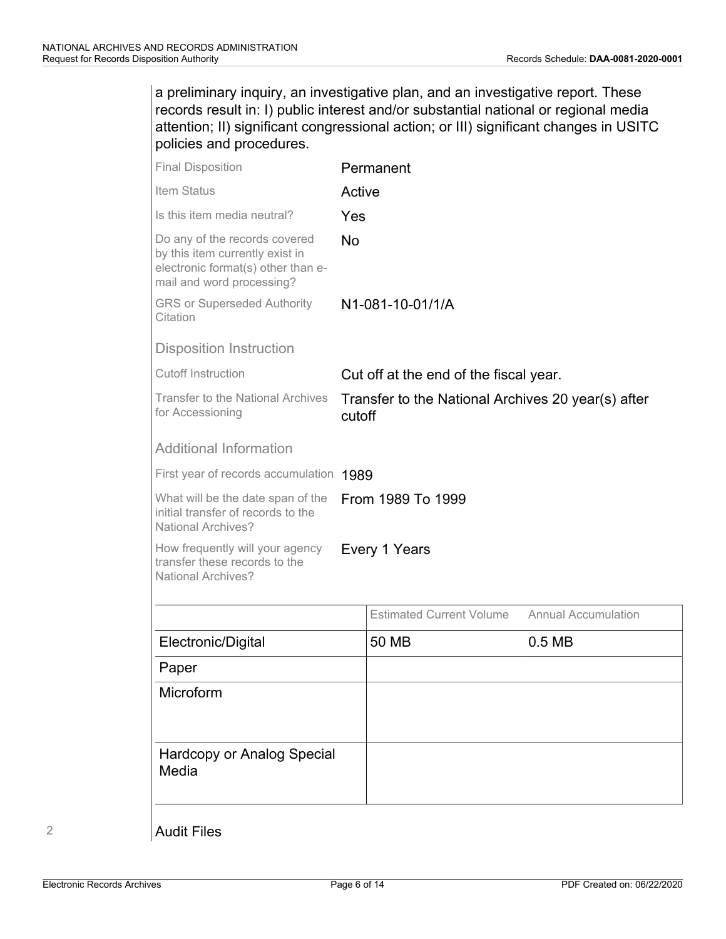a preliminary inquiry, an investigative plan, and an investigative report. These records result in: I) public interest and/or substantial national or regional media attention; II) significant congressional action; or III) significant changes in USITC policies and procedures.

| <b>Final Disposition</b>                                                                                                            |                                                              | Permanent                              |                            |  |
|-------------------------------------------------------------------------------------------------------------------------------------|--------------------------------------------------------------|----------------------------------------|----------------------------|--|
| Item Status                                                                                                                         | Active                                                       |                                        |                            |  |
| Is this item media neutral?                                                                                                         | Yes                                                          |                                        |                            |  |
| Do any of the records covered<br>by this item currently exist in<br>electronic format(s) other than e-<br>mail and word processing? | No                                                           |                                        |                            |  |
| <b>GRS or Superseded Authority</b><br>Citation                                                                                      |                                                              | N1-081-10-01/1/A                       |                            |  |
| Disposition Instruction                                                                                                             |                                                              |                                        |                            |  |
| <b>Cutoff Instruction</b>                                                                                                           |                                                              | Cut off at the end of the fiscal year. |                            |  |
| <b>Transfer to the National Archives</b><br>for Accessioning                                                                        | Transfer to the National Archives 20 year(s) after<br>cutoff |                                        |                            |  |
| <b>Additional Information</b>                                                                                                       |                                                              |                                        |                            |  |
| First year of records accumulation 1989                                                                                             |                                                              |                                        |                            |  |
| What will be the date span of the<br>initial transfer of records to the<br><b>National Archives?</b>                                | From 1989 To 1999                                            |                                        |                            |  |
| How frequently will your agency<br>transfer these records to the<br><b>National Archives?</b>                                       |                                                              | Every 1 Years                          |                            |  |
|                                                                                                                                     |                                                              | <b>Estimated Current Volume</b>        | <b>Annual Accumulation</b> |  |
| Electronic/Digital                                                                                                                  |                                                              | 50 MB                                  | 0.5 <sub>MB</sub>          |  |
| Paper                                                                                                                               |                                                              |                                        |                            |  |
| Microform                                                                                                                           |                                                              |                                        |                            |  |
| Hardcopy or Analog Special<br>Media                                                                                                 |                                                              |                                        |                            |  |

Audit Files

2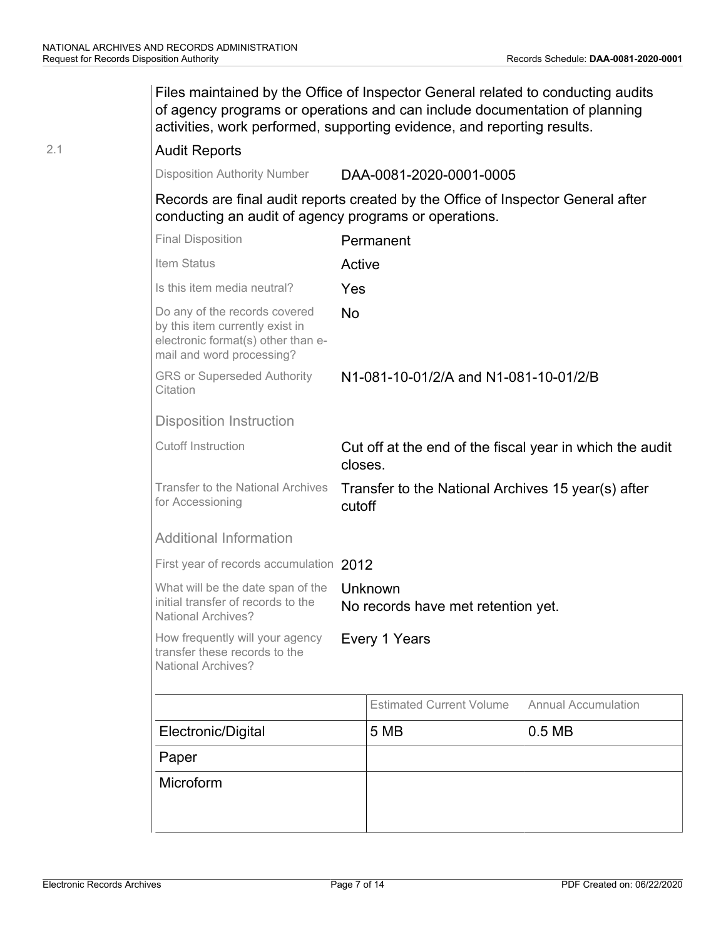|     | Files maintained by the Office of Inspector General related to conducting audits<br>of agency programs or operations and can include documentation of planning<br>activities, work performed, supporting evidence, and reporting results. |           |                                                          |                            |
|-----|-------------------------------------------------------------------------------------------------------------------------------------------------------------------------------------------------------------------------------------------|-----------|----------------------------------------------------------|----------------------------|
| 2.1 | <b>Audit Reports</b>                                                                                                                                                                                                                      |           |                                                          |                            |
|     | <b>Disposition Authority Number</b>                                                                                                                                                                                                       |           | DAA-0081-2020-0001-0005                                  |                            |
|     | Records are final audit reports created by the Office of Inspector General after<br>conducting an audit of agency programs or operations.                                                                                                 |           |                                                          |                            |
|     | <b>Final Disposition</b>                                                                                                                                                                                                                  |           | Permanent                                                |                            |
|     | Item Status                                                                                                                                                                                                                               | Active    |                                                          |                            |
|     | Is this item media neutral?                                                                                                                                                                                                               | Yes       |                                                          |                            |
|     | Do any of the records covered<br>by this item currently exist in<br>electronic format(s) other than e-<br>mail and word processing?                                                                                                       | <b>No</b> |                                                          |                            |
|     | <b>GRS or Superseded Authority</b><br>Citation                                                                                                                                                                                            |           | N1-081-10-01/2/A and N1-081-10-01/2/B                    |                            |
|     | <b>Disposition Instruction</b>                                                                                                                                                                                                            |           |                                                          |                            |
|     | <b>Cutoff Instruction</b>                                                                                                                                                                                                                 | closes.   | Cut off at the end of the fiscal year in which the audit |                            |
|     | Transfer to the National Archives<br>for Accessioning                                                                                                                                                                                     | cutoff    | Transfer to the National Archives 15 year(s) after       |                            |
|     | <b>Additional Information</b>                                                                                                                                                                                                             |           |                                                          |                            |
|     | First year of records accumulation 2012                                                                                                                                                                                                   |           |                                                          |                            |
|     | What will be the date span of the<br>initial transfer of records to the<br>National Archives?                                                                                                                                             |           | Unknown<br>No records have met retention yet.            |                            |
|     | How frequently will your agency<br>transfer these records to the<br>National Archives?                                                                                                                                                    |           | Every 1 Years                                            |                            |
|     |                                                                                                                                                                                                                                           |           | <b>Estimated Current Volume</b>                          | <b>Annual Accumulation</b> |
|     | Electronic/Digital                                                                                                                                                                                                                        |           | 5 MB                                                     | 0.5 <sub>MB</sub>          |
|     | Paper                                                                                                                                                                                                                                     |           |                                                          |                            |
|     | Microform                                                                                                                                                                                                                                 |           |                                                          |                            |
|     |                                                                                                                                                                                                                                           |           |                                                          |                            |
|     |                                                                                                                                                                                                                                           |           |                                                          |                            |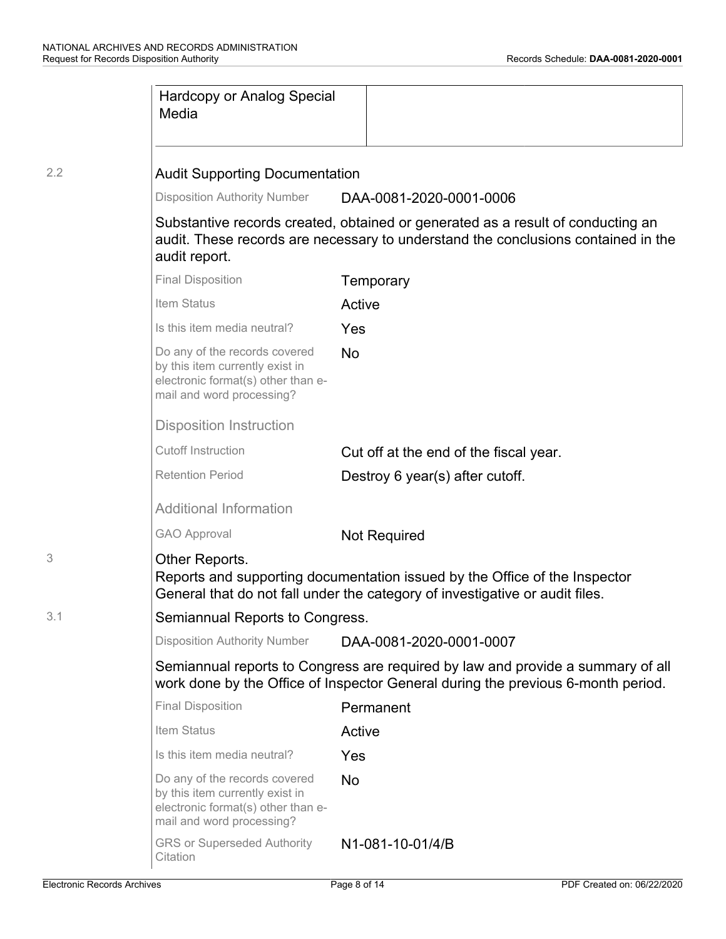|     | <b>Hardcopy or Analog Special</b><br>Media                                                                                                                                            |           |                                        |  |
|-----|---------------------------------------------------------------------------------------------------------------------------------------------------------------------------------------|-----------|----------------------------------------|--|
| 2.2 | <b>Audit Supporting Documentation</b>                                                                                                                                                 |           |                                        |  |
|     | <b>Disposition Authority Number</b>                                                                                                                                                   |           | DAA-0081-2020-0001-0006                |  |
|     | Substantive records created, obtained or generated as a result of conducting an<br>audit. These records are necessary to understand the conclusions contained in the<br>audit report. |           |                                        |  |
|     | <b>Final Disposition</b>                                                                                                                                                              |           | Temporary                              |  |
|     | Item Status                                                                                                                                                                           | Active    |                                        |  |
|     | Is this item media neutral?                                                                                                                                                           | Yes       |                                        |  |
|     | Do any of the records covered<br>by this item currently exist in<br>electronic format(s) other than e-<br>mail and word processing?                                                   | <b>No</b> |                                        |  |
|     | <b>Disposition Instruction</b>                                                                                                                                                        |           |                                        |  |
|     | <b>Cutoff Instruction</b>                                                                                                                                                             |           | Cut off at the end of the fiscal year. |  |
|     | <b>Retention Period</b>                                                                                                                                                               |           | Destroy 6 year(s) after cutoff.        |  |
|     | <b>Additional Information</b>                                                                                                                                                         |           |                                        |  |
|     | <b>GAO Approval</b>                                                                                                                                                                   |           | <b>Not Required</b>                    |  |
| 3   | Other Reports.<br>Reports and supporting documentation issued by the Office of the Inspector<br>General that do not fall under the category of investigative or audit files.          |           |                                        |  |
| 3.1 | Semiannual Reports to Congress.                                                                                                                                                       |           |                                        |  |
|     | <b>Disposition Authority Number</b>                                                                                                                                                   |           | DAA-0081-2020-0001-0007                |  |
|     | Semiannual reports to Congress are required by law and provide a summary of all<br>work done by the Office of Inspector General during the previous 6-month period.                   |           |                                        |  |
|     | <b>Final Disposition</b>                                                                                                                                                              |           | Permanent                              |  |
|     | Item Status                                                                                                                                                                           | Active    |                                        |  |
|     | Is this item media neutral?                                                                                                                                                           | Yes       |                                        |  |
|     | Do any of the records covered<br>by this item currently exist in<br>electronic format(s) other than e-<br>mail and word processing?                                                   | <b>No</b> |                                        |  |
|     | <b>GRS or Superseded Authority</b><br>Citation                                                                                                                                        |           | N1-081-10-01/4/B                       |  |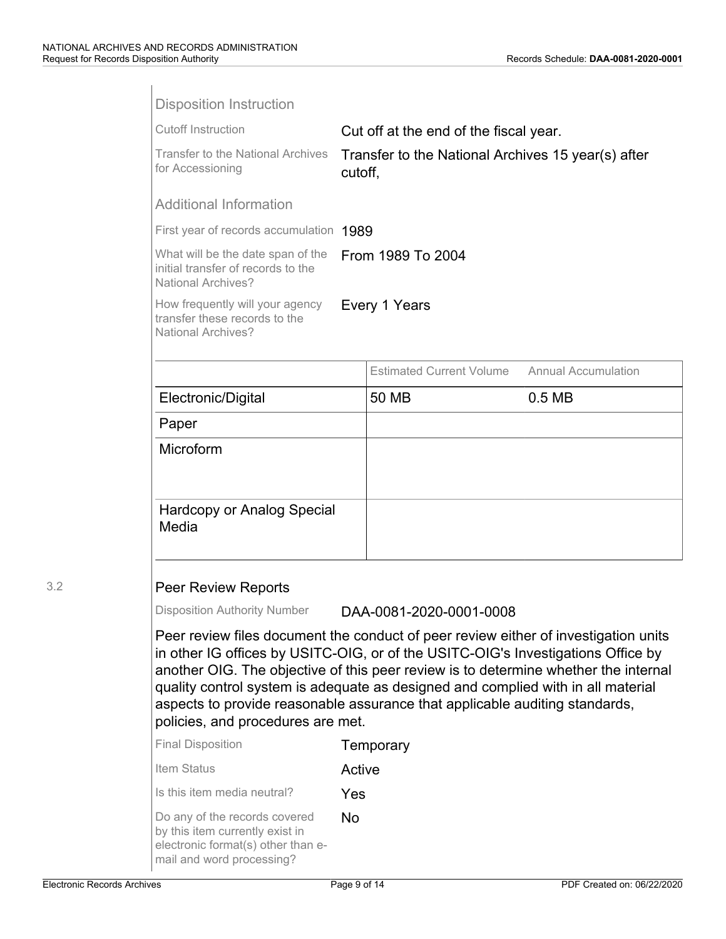|                                    | <b>Disposition Instruction</b>                                                                                                      |                                                                                                                                                                                                                                                                                                                                                                                                                                   |                            |
|------------------------------------|-------------------------------------------------------------------------------------------------------------------------------------|-----------------------------------------------------------------------------------------------------------------------------------------------------------------------------------------------------------------------------------------------------------------------------------------------------------------------------------------------------------------------------------------------------------------------------------|----------------------------|
|                                    | <b>Cutoff Instruction</b>                                                                                                           | Cut off at the end of the fiscal year.                                                                                                                                                                                                                                                                                                                                                                                            |                            |
|                                    | <b>Transfer to the National Archives</b><br>for Accessioning                                                                        | Transfer to the National Archives 15 year(s) after<br>cutoff,                                                                                                                                                                                                                                                                                                                                                                     |                            |
|                                    | <b>Additional Information</b>                                                                                                       |                                                                                                                                                                                                                                                                                                                                                                                                                                   |                            |
|                                    | First year of records accumulation 1989                                                                                             |                                                                                                                                                                                                                                                                                                                                                                                                                                   |                            |
|                                    | What will be the date span of the<br>initial transfer of records to the<br><b>National Archives?</b>                                | From 1989 To 2004                                                                                                                                                                                                                                                                                                                                                                                                                 |                            |
|                                    | How frequently will your agency<br>transfer these records to the<br><b>National Archives?</b>                                       | Every 1 Years                                                                                                                                                                                                                                                                                                                                                                                                                     |                            |
|                                    |                                                                                                                                     | <b>Estimated Current Volume</b>                                                                                                                                                                                                                                                                                                                                                                                                   | <b>Annual Accumulation</b> |
|                                    | Electronic/Digital                                                                                                                  | 50 MB                                                                                                                                                                                                                                                                                                                                                                                                                             | 0.5 <sub>MB</sub>          |
|                                    | Paper                                                                                                                               |                                                                                                                                                                                                                                                                                                                                                                                                                                   |                            |
|                                    | Microform                                                                                                                           |                                                                                                                                                                                                                                                                                                                                                                                                                                   |                            |
|                                    |                                                                                                                                     |                                                                                                                                                                                                                                                                                                                                                                                                                                   |                            |
|                                    | <b>Hardcopy or Analog Special</b>                                                                                                   |                                                                                                                                                                                                                                                                                                                                                                                                                                   |                            |
|                                    | Media                                                                                                                               |                                                                                                                                                                                                                                                                                                                                                                                                                                   |                            |
|                                    |                                                                                                                                     |                                                                                                                                                                                                                                                                                                                                                                                                                                   |                            |
| 3.2                                | <b>Peer Review Reports</b>                                                                                                          |                                                                                                                                                                                                                                                                                                                                                                                                                                   |                            |
|                                    | <b>Disposition Authority Number</b>                                                                                                 | DAA-0081-2020-0001-0008                                                                                                                                                                                                                                                                                                                                                                                                           |                            |
|                                    | policies, and procedures are met.                                                                                                   | Peer review files document the conduct of peer review either of investigation units<br>in other IG offices by USITC-OIG, or of the USITC-OIG's Investigations Office by<br>another OIG. The objective of this peer review is to determine whether the internal<br>quality control system is adequate as designed and complied with in all material<br>aspects to provide reasonable assurance that applicable auditing standards, |                            |
|                                    | <b>Final Disposition</b>                                                                                                            | Temporary                                                                                                                                                                                                                                                                                                                                                                                                                         |                            |
|                                    | Item Status                                                                                                                         | Active                                                                                                                                                                                                                                                                                                                                                                                                                            |                            |
|                                    | Is this item media neutral?                                                                                                         | Yes                                                                                                                                                                                                                                                                                                                                                                                                                               |                            |
|                                    | Do any of the records covered<br>by this item currently exist in<br>electronic format(s) other than e-<br>mail and word processing? | <b>No</b>                                                                                                                                                                                                                                                                                                                                                                                                                         |                            |
| <b>Electronic Records Archives</b> |                                                                                                                                     | Page 9 of 14                                                                                                                                                                                                                                                                                                                                                                                                                      | PDF Created on: 06/22/2020 |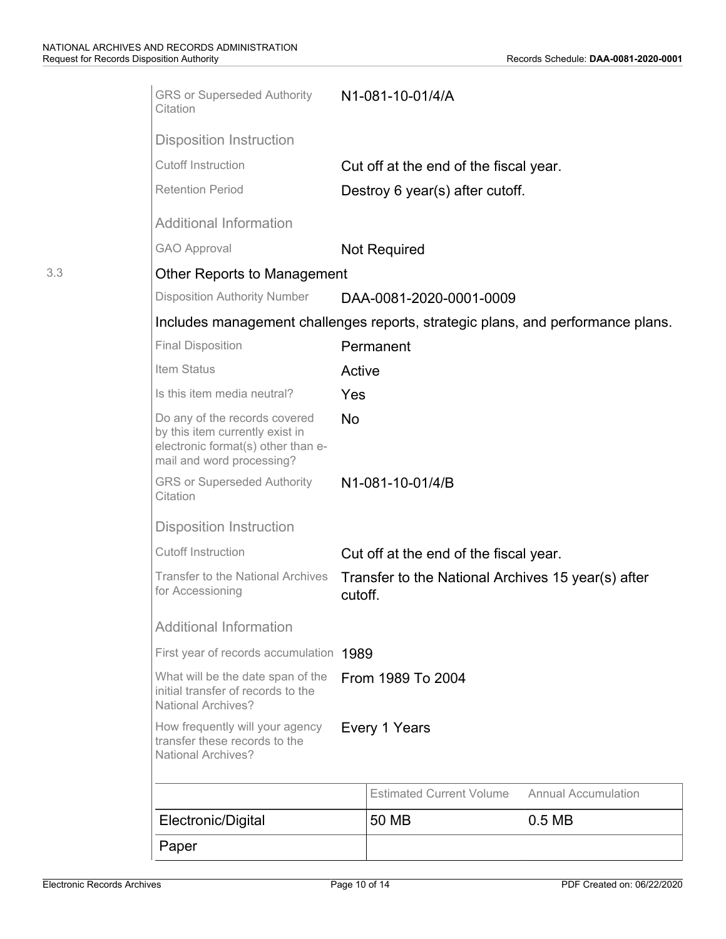3.3

| Electronic/Digital                                                                                                                  |           | 50 MB                                              | 0.5 <sub>MB</sub>          |
|-------------------------------------------------------------------------------------------------------------------------------------|-----------|----------------------------------------------------|----------------------------|
|                                                                                                                                     |           | <b>Estimated Current Volume</b>                    | <b>Annual Accumulation</b> |
| transfer these records to the<br><b>National Archives?</b>                                                                          |           |                                                    |                            |
| How frequently will your agency                                                                                                     |           | Every 1 Years                                      |                            |
| What will be the date span of the<br>initial transfer of records to the<br><b>National Archives?</b>                                |           | From 1989 To 2004                                  |                            |
| First year of records accumulation 1989                                                                                             |           |                                                    |                            |
| <b>Additional Information</b>                                                                                                       |           |                                                    |                            |
| <b>Transfer to the National Archives</b><br>for Accessioning                                                                        | cutoff.   | Transfer to the National Archives 15 year(s) after |                            |
| <b>Cutoff Instruction</b>                                                                                                           |           | Cut off at the end of the fiscal year.             |                            |
| <b>Disposition Instruction</b>                                                                                                      |           |                                                    |                            |
| <b>GRS or Superseded Authority</b><br>Citation                                                                                      |           | N1-081-10-01/4/B                                   |                            |
| Do any of the records covered<br>by this item currently exist in<br>electronic format(s) other than e-<br>mail and word processing? | <b>No</b> |                                                    |                            |
| Is this item media neutral?                                                                                                         | Yes       |                                                    |                            |
| Item Status                                                                                                                         | Active    |                                                    |                            |
| <b>Final Disposition</b>                                                                                                            |           | Permanent                                          |                            |
| Includes management challenges reports, strategic plans, and performance plans.                                                     |           |                                                    |                            |
| <b>Disposition Authority Number</b>                                                                                                 |           | DAA-0081-2020-0001-0009                            |                            |
| Other Reports to Management                                                                                                         |           |                                                    |                            |
| <b>GAO Approval</b>                                                                                                                 |           | <b>Not Required</b>                                |                            |
| <b>Additional Information</b>                                                                                                       |           |                                                    |                            |
| <b>Retention Period</b>                                                                                                             |           | Destroy 6 year(s) after cutoff.                    |                            |
| <b>Cutoff Instruction</b>                                                                                                           |           | Cut off at the end of the fiscal year.             |                            |
| <b>Disposition Instruction</b>                                                                                                      |           |                                                    |                            |
| Citation                                                                                                                            |           |                                                    |                            |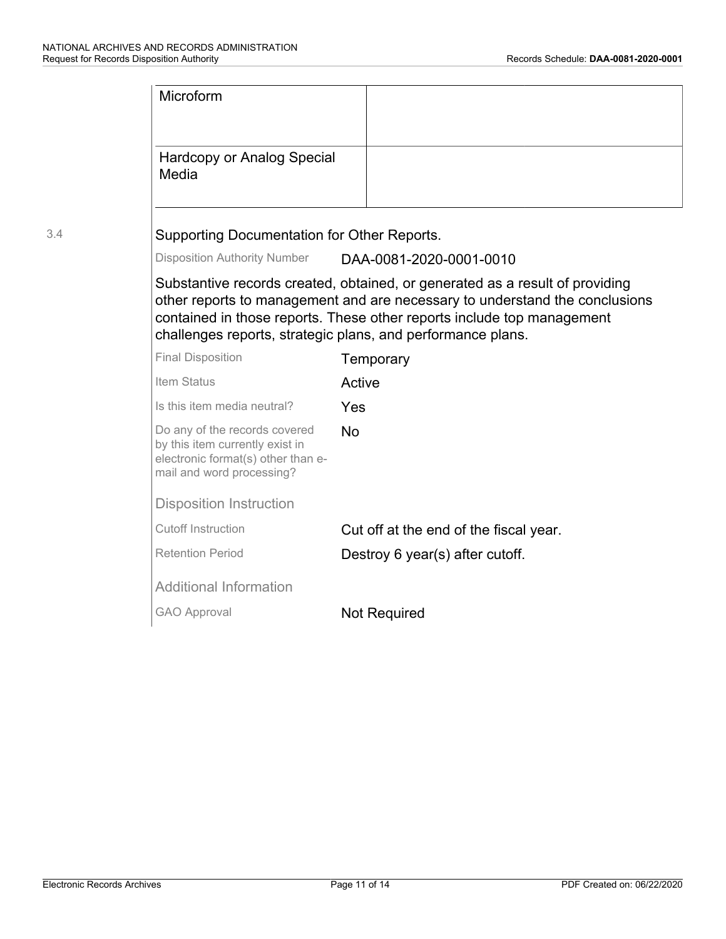|     | Microform                                                                                                                           |                                                                                                                                                                                                                                                                                                      |  |
|-----|-------------------------------------------------------------------------------------------------------------------------------------|------------------------------------------------------------------------------------------------------------------------------------------------------------------------------------------------------------------------------------------------------------------------------------------------------|--|
|     |                                                                                                                                     |                                                                                                                                                                                                                                                                                                      |  |
|     | <b>Hardcopy or Analog Special</b><br>Media                                                                                          |                                                                                                                                                                                                                                                                                                      |  |
| 3.4 | Supporting Documentation for Other Reports.                                                                                         |                                                                                                                                                                                                                                                                                                      |  |
|     | <b>Disposition Authority Number</b>                                                                                                 | DAA-0081-2020-0001-0010                                                                                                                                                                                                                                                                              |  |
|     |                                                                                                                                     | Substantive records created, obtained, or generated as a result of providing<br>other reports to management and are necessary to understand the conclusions<br>contained in those reports. These other reports include top management<br>challenges reports, strategic plans, and performance plans. |  |
|     | <b>Final Disposition</b>                                                                                                            | Temporary                                                                                                                                                                                                                                                                                            |  |
|     | Item Status                                                                                                                         | Active                                                                                                                                                                                                                                                                                               |  |
|     | Is this item media neutral?                                                                                                         | Yes                                                                                                                                                                                                                                                                                                  |  |
|     | Do any of the records covered<br>by this item currently exist in<br>electronic format(s) other than e-<br>mail and word processing? | <b>No</b>                                                                                                                                                                                                                                                                                            |  |
|     | <b>Disposition Instruction</b>                                                                                                      |                                                                                                                                                                                                                                                                                                      |  |
|     | <b>Cutoff Instruction</b>                                                                                                           | Cut off at the end of the fiscal year.                                                                                                                                                                                                                                                               |  |
|     | <b>Retention Period</b>                                                                                                             | Destroy 6 year(s) after cutoff.                                                                                                                                                                                                                                                                      |  |
|     | <b>Additional Information</b>                                                                                                       |                                                                                                                                                                                                                                                                                                      |  |
|     | <b>GAO Approval</b>                                                                                                                 | <b>Not Required</b>                                                                                                                                                                                                                                                                                  |  |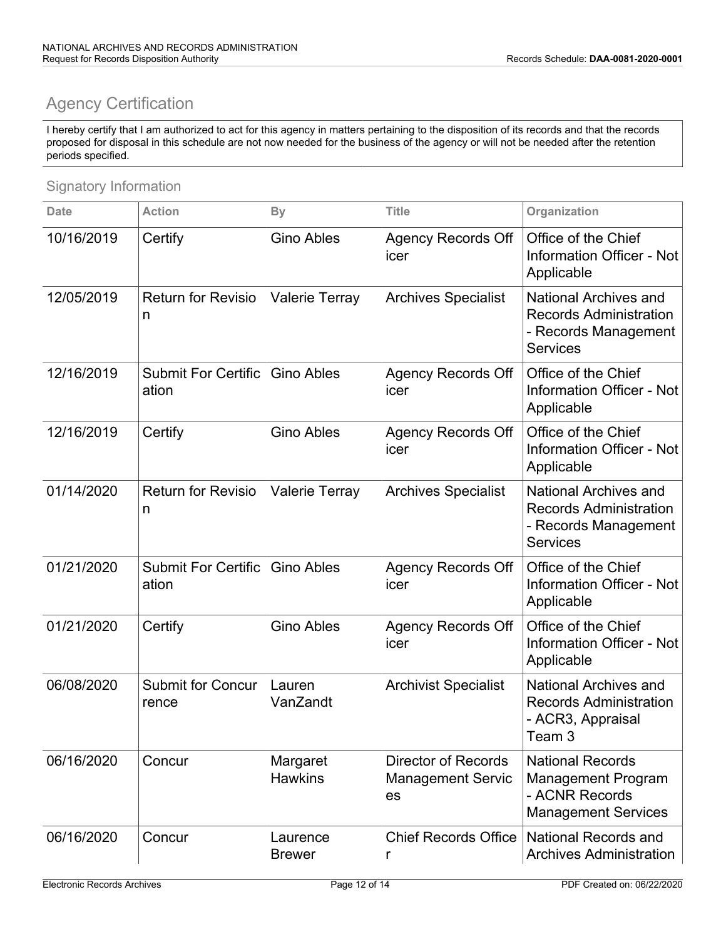### Agency Certification

I hereby certify that I am authorized to act for this agency in matters pertaining to the disposition of its records and that the records proposed for disposal in this schedule are not now needed for the business of the agency or will not be needed after the retention periods specified.

#### Signatory Information

| <b>Date</b> | <b>Action</b>                       | <b>By</b>                  | <b>Title</b>                                                 | Organization                                                                                             |
|-------------|-------------------------------------|----------------------------|--------------------------------------------------------------|----------------------------------------------------------------------------------------------------------|
| 10/16/2019  | Certify                             | <b>Gino Ables</b>          | <b>Agency Records Off</b><br>icer                            | Office of the Chief<br>Information Officer - Not<br>Applicable                                           |
| 12/05/2019  | <b>Return for Revisio</b><br>n      | <b>Valerie Terray</b>      | <b>Archives Specialist</b>                                   | <b>National Archives and</b><br><b>Records Administration</b><br>- Records Management<br><b>Services</b> |
| 12/16/2019  | <b>Submit For Certific</b><br>ation | <b>Gino Ables</b>          | <b>Agency Records Off</b><br>icer                            | Office of the Chief<br><b>Information Officer - Not</b><br>Applicable                                    |
| 12/16/2019  | Certify                             | <b>Gino Ables</b>          | <b>Agency Records Off</b><br>icer                            | Office of the Chief<br>Information Officer - Not<br>Applicable                                           |
| 01/14/2020  | <b>Return for Revisio</b><br>n      | <b>Valerie Terray</b>      | <b>Archives Specialist</b>                                   | <b>National Archives and</b><br><b>Records Administration</b><br>- Records Management<br><b>Services</b> |
| 01/21/2020  | <b>Submit For Certific</b><br>ation | <b>Gino Ables</b>          | <b>Agency Records Off</b><br>icer                            | Office of the Chief<br><b>Information Officer - Not</b><br>Applicable                                    |
| 01/21/2020  | Certify                             | <b>Gino Ables</b>          | <b>Agency Records Off</b><br>icer                            | Office of the Chief<br><b>Information Officer - Not</b><br>Applicable                                    |
| 06/08/2020  | <b>Submit for Concur</b><br>rence   | Lauren<br>VanZandt         | <b>Archivist Specialist</b>                                  | <b>National Archives and</b><br><b>Records Administration</b><br>- ACR3, Appraisal<br>Team 3             |
| 06/16/2020  | Concur                              | Margaret<br><b>Hawkins</b> | <b>Director of Records</b><br><b>Management Servic</b><br>es | <b>National Records</b><br><b>Management Program</b><br>- ACNR Records<br><b>Management Services</b>     |
| 06/16/2020  | Concur                              | Laurence<br><b>Brewer</b>  | <b>Chief Records Office</b><br>r                             | <b>National Records and</b><br><b>Archives Administration</b>                                            |